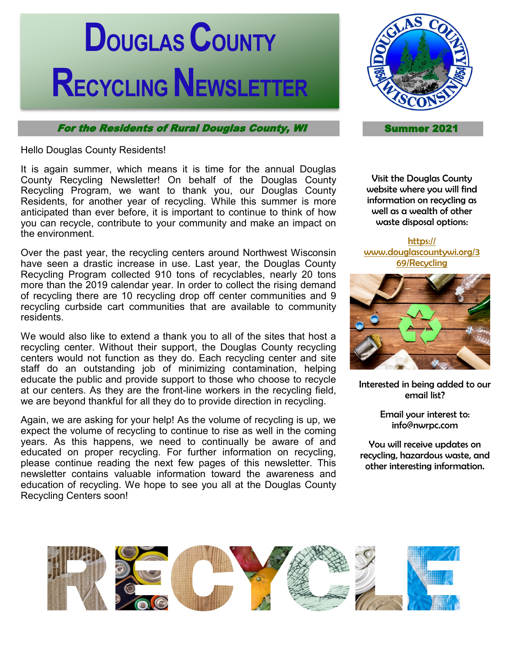# **DOUGLASCOUNTY RECYCLING NEWSLETTER**

For the Residents of Rural Douglas County, WI Summer 2021

Hello Douglas County Residents!

It is again summer, which means it is time for the annual Douglas County Recycling Newsletter! On behalf of the Douglas County Recycling Program, we want to thank you, our Douglas County Residents, for another year of recycling. While this summer is more anticipated than ever before, it is important to continue to think of how you can recycle, contribute to your community and make an impact on the environment.

Over the past year, the recycling centers around Northwest Wisconsin have seen a drastic increase in use. Last year, the Douglas County Recycling Program collected 910 tons of recyclables, nearly 20 tons more than the 2019 calendar year. In order to collect the rising demand of recycling there are 10 recycling drop off center communities and 9 recycling curbside cart communities that are available to community residents.

We would also like to extend a thank you to all of the sites that host a recycling center. Without their support, the Douglas County recycling centers would not function as they do. Each recycling center and site staff do an outstanding job of minimizing contamination, helping educate the public and provide support to those who choose to recycle at our centers. As they are the front-line workers in the recycling field, we are beyond thankful for all they do to provide direction in recycling.

Again, we are asking for your help! As the volume of recycling is up, we expect the volume of recycling to continue to rise as well in the coming years. As this happens, we need to continually be aware of and educated on proper recycling. For further information on recycling, please continue reading the next few pages of this newsletter. This newsletter contains valuable information toward the awareness and education of recycling. We hope to see you all at the Douglas County Recycling Centers soon!



Visit the Douglas County website where you will find information on recycling as well as a wealth of other waste disposal options:

[https://](https://www.douglascountywi.org/369/Recycling) [www.douglascountywi.org/3](https://www.douglascountywi.org/369/Recycling) [69/Recycling](https://www.douglascountywi.org/369/Recycling)



Interested in being added to our email list?

> Email your interest to: info@nwrpc.com

You will receive updates on recycling, hazardous waste, and other interesting information.

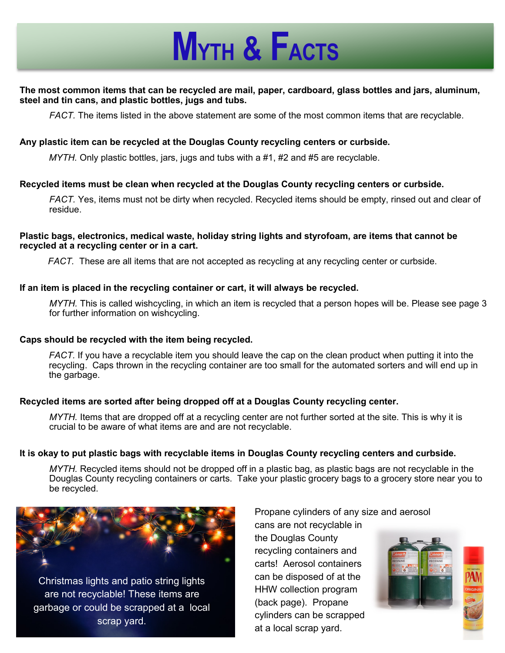## **MYTH & FACTS**

#### **The most common items that can be recycled are mail, paper, cardboard, glass bottles and jars, aluminum, steel and tin cans, and plastic bottles, jugs and tubs.**

*FACT.* The items listed in the above statement are some of the most common items that are recyclable.

#### **Any plastic item can be recycled at the Douglas County recycling centers or curbside.**

*MYTH.* Only plastic bottles, jars, jugs and tubs with a #1, #2 and #5 are recyclable.

#### **Recycled items must be clean when recycled at the Douglas County recycling centers or curbside.**

*FACT.* Yes, items must not be dirty when recycled. Recycled items should be empty, rinsed out and clear of residue.

#### **Plastic bags, electronics, medical waste, holiday string lights and styrofoam, are items that cannot be recycled at a recycling center or in a cart.**

*FACT.* These are all items that are not accepted as recycling at any recycling center or curbside.

#### **If an item is placed in the recycling container or cart, it will always be recycled.**

*MYTH.* This is called wishcycling, in which an item is recycled that a person hopes will be. Please see page 3 for further information on wishcycling.

#### **Caps should be recycled with the item being recycled.**

*FACT.* If you have a recyclable item you should leave the cap on the clean product when putting it into the recycling. Caps thrown in the recycling container are too small for the automated sorters and will end up in the garbage.

#### **Recycled items are sorted after being dropped off at a Douglas County recycling center.**

*MYTH.* Items that are dropped off at a recycling center are not further sorted at the site. This is why it is crucial to be aware of what items are and are not recyclable.

#### **It is okay to put plastic bags with recyclable items in Douglas County recycling centers and curbside.**

*MYTH.* Recycled items should not be dropped off in a plastic bag, as plastic bags are not recyclable in the Douglas County recycling containers or carts. Take your plastic grocery bags to a grocery store near you to be recycled.



Christmas lights and patio string lights are not recyclable! These items are garbage or could be scrapped at a local scrap yard.

Propane cylinders of any size and aerosol

cans are not recyclable in the Douglas County recycling containers and carts! Aerosol containers can be disposed of at the HHW collection program (back page). Propane cylinders can be scrapped at a local scrap yard.

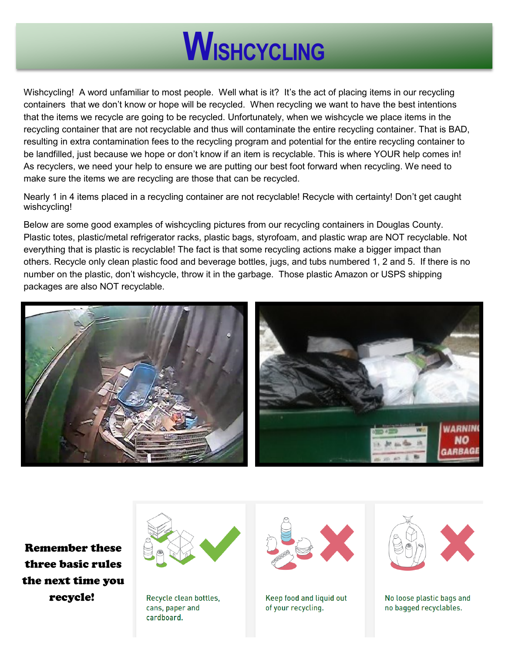

Wishcycling! A word unfamiliar to most people. Well what is it? It's the act of placing items in our recycling containers that we don't know or hope will be recycled. When recycling we want to have the best intentions that the items we recycle are going to be recycled. Unfortunately, when we wishcycle we place items in the recycling container that are not recyclable and thus will contaminate the entire recycling container. That is BAD, resulting in extra contamination fees to the recycling program and potential for the entire recycling container to be landfilled, just because we hope or don't know if an item is recyclable. This is where YOUR help comes in! As recyclers, we need your help to ensure we are putting our best foot forward when recycling. We need to make sure the items we are recycling are those that can be recycled.

Nearly 1 in 4 items placed in a recycling container are not recyclable! Recycle with certainty! Don't get caught wishcycling!

Below are some good examples of wishcycling pictures from our recycling containers in Douglas County. Plastic totes, plastic/metal refrigerator racks, plastic bags, styrofoam, and plastic wrap are NOT recyclable. Not everything that is plastic is recyclable! The fact is that some recycling actions make a bigger impact than others. Recycle only clean plastic food and beverage bottles, jugs, and tubs numbered 1, 2 and 5. If there is no number on the plastic, don't wishcycle, throw it in the garbage. Those plastic Amazon or USPS shipping packages are also NOT recyclable.



Remember these three basic rules the next time you recycle!



Recycle clean bottles, cans, paper and cardboard.



Keep food and liquid out of your recycling.



No loose plastic bags and no bagged recyclables.